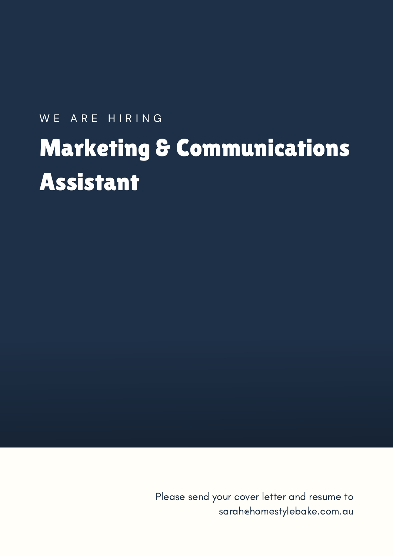# WE ARE HIRING Marketing & Communications Assistant

Please send your cover letter and resume to sarah@homestylebake.com.au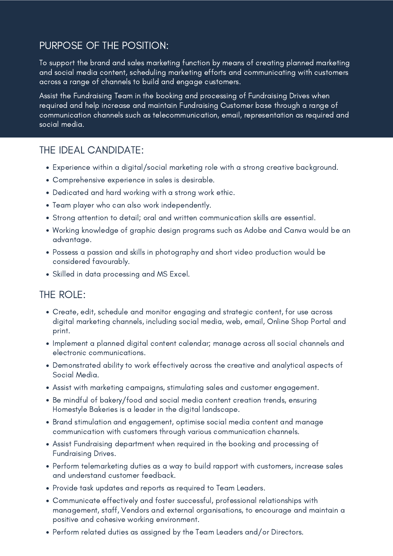# PURPOSE OF THE POSITION:

To support the brand and sales marketing function by means of creating planned marketing and social media content, scheduling marketing efforts and communicating with customers across a range of channels to build and engage customers.

Assist the Fundraising Team in the booking and processing of Fundraising Drives when required and help increase and maintain Fundraising Customer base through a range of communication channels such as telecommunication, email, representation as required and social media.

#### THE IDEAL CANDIDATE:

- Experience within a digital/social marketing role with a strong creative background.
- Comprehensive experience in sales is desirable.
- Dedicated and hard working with a strong work ethic.
- Team player who can also work independently.
- Strong attention to detail; oral and written communication skills are essential.
- Working knowledge of graphic design programs such as Adobe and Canva would be an advantage.
- Possess a passion and skills in photography and short video production would be considered favourably.
- Skilled in data processing and MS Excel.

#### THE ROLE:

- Create, edit, schedule and monitor engaging and strategic content, for use across digital marketing channels, including social media, web, email, Online Shop Portal and print.
- Implement a planned digital content calendar; manage across all social channels and electronic communications.
- Demonstrated ability to work effectively across the creative and analytical aspects of Social Media.
- Assist with marketing campaigns, stimulating sales and customer engagement.
- Be mindful of bakery/food and social media content creation trends, ensuring Homestyle Bakeries is a leader in the digital landscape.
- Brand stimulation and engagement, optimise social media content and manage communication with customers through various communication channels.
- Assist Fundraising department when required in the booking and processing of Fundraising Drives.
- Perform telemarketing duties as a way to build rapport with customers, increase sales and understand customer feedback.
- Provide task updates and reports as required to Team Leaders.
- Communicate effectively and foster successful, professional relationships with management, staff, Vendors and external organisations, to encourage and maintain a positive and cohesive working environment.
- Perform related duties as assigned by the Team Leaders and/or Directors.